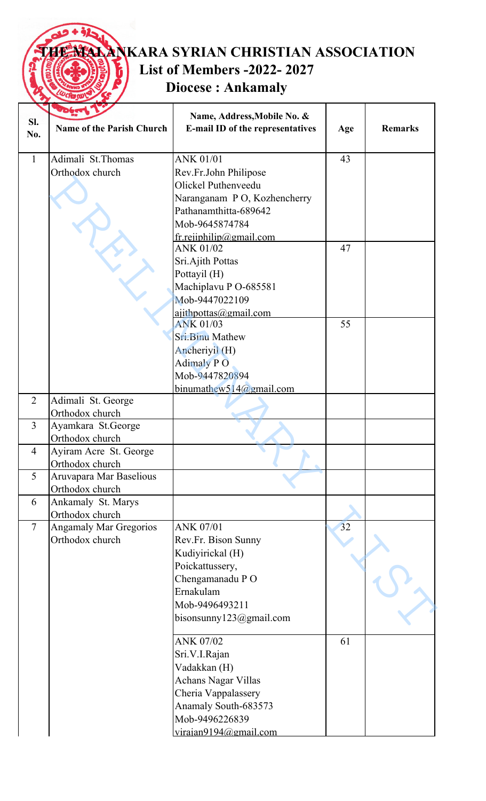## **TANKARA SYRIAN CHRISTIAN ASSOCIATION List of Members -2022- 2027** ĥ **Diocese : Ankamaly**

|                |                                  | Name, Address, Mobile No. &                          |     |                |
|----------------|----------------------------------|------------------------------------------------------|-----|----------------|
| SI.            | <b>Name of the Parish Church</b> | E-mail ID of the representatives                     | Age | <b>Remarks</b> |
| No.            |                                  |                                                      |     |                |
| $\mathbf{1}$   | Adimali St.Thomas                | <b>ANK 01/01</b>                                     | 43  |                |
|                | Orthodox church                  | Rev.Fr.John Philipose                                |     |                |
|                |                                  | Olickel Puthenveedu                                  |     |                |
|                |                                  |                                                      |     |                |
|                |                                  | Naranganam PO, Kozhencherry<br>Pathanamthitta-689642 |     |                |
|                |                                  |                                                      |     |                |
|                |                                  | Mob-9645874784                                       |     |                |
|                |                                  | $frrepibility(\omega)$ gmail.com<br><b>ANK 01/02</b> | 47  |                |
|                |                                  | Sri.Ajith Pottas                                     |     |                |
|                |                                  | Pottayil (H)                                         |     |                |
|                |                                  | Machiplavu P O-685581                                |     |                |
|                |                                  | Mob-9447022109                                       |     |                |
|                |                                  |                                                      |     |                |
|                |                                  | $a$ jithpottas@gmail.com<br><b>ANK 01/03</b>         | 55  |                |
|                |                                  | <b>Sri.Binu Mathew</b>                               |     |                |
|                |                                  | Ancheriyil (H)                                       |     |                |
|                |                                  | <b>Adimaly PO</b>                                    |     |                |
|                |                                  | Mob-9447820894                                       |     |                |
|                |                                  | binumathew514@gmail.com                              |     |                |
| 2              | Adimali St. George               |                                                      |     |                |
|                | Orthodox church                  |                                                      |     |                |
| $\overline{3}$ | Ayamkara St.George               |                                                      |     |                |
|                | Orthodox church                  |                                                      |     |                |
| $\overline{4}$ | Ayiram Acre St. George           |                                                      |     |                |
|                | Orthodox church                  |                                                      |     |                |
| 5              | Aruvapara Mar Baselious          |                                                      |     |                |
|                | Orthodox church                  |                                                      |     |                |
| 6              | Ankamaly St. Marys               |                                                      |     |                |
|                | Orthodox church                  |                                                      |     |                |
| $\overline{7}$ | <b>Angamaly Mar Gregorios</b>    | <b>ANK 07/01</b>                                     | 32  |                |
|                | Orthodox church                  | Rev.Fr. Bison Sunny                                  |     |                |
|                |                                  | Kudiyirickal (H)                                     |     |                |
|                |                                  | Poickattussery,                                      |     |                |
|                |                                  | Chengamanadu PO                                      |     |                |
|                |                                  | Ernakulam                                            |     |                |
|                |                                  | Mob-9496493211                                       |     |                |
|                |                                  | bisonsunny $123@g$ mail.com                          |     |                |
|                |                                  | <b>ANK 07/02</b>                                     | 61  |                |
|                |                                  | Sri.V.I.Rajan                                        |     |                |
|                |                                  | Vadakkan (H)                                         |     |                |
|                |                                  | <b>Achans Nagar Villas</b>                           |     |                |
|                |                                  | Cheria Vappalassery                                  |     |                |
|                |                                  | Anamaly South-683573                                 |     |                |
|                |                                  | Mob-9496226839                                       |     |                |
|                |                                  | virajan9194@gmail.com                                |     |                |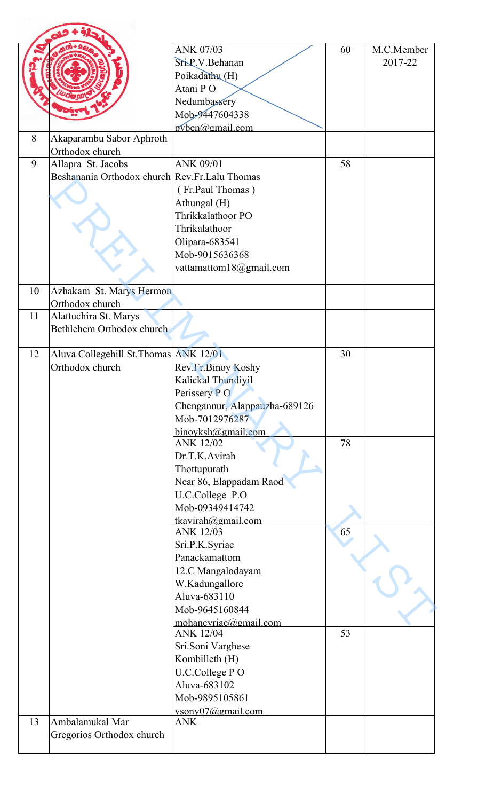|    |                                                                     | <b>ANK 07/03</b><br>Sri.P.V.Behanan<br>Poikadathu (H)<br>Atani PO                                                                                                        | 60 | M.C.Member<br>2017-22 |
|----|---------------------------------------------------------------------|--------------------------------------------------------------------------------------------------------------------------------------------------------------------------|----|-----------------------|
|    |                                                                     | Nedumbassery<br>Mob-9447604338<br>$pvben(\omega gmail.com)$                                                                                                              |    |                       |
| 8  | Akaparambu Sabor Aphroth<br>Orthodox church                         |                                                                                                                                                                          |    |                       |
| 9  | Allapra St. Jacobs<br>Beshanania Orthodox church Rev.Fr.Lalu Thomas | ANK 09/01<br>(Fr.Paul Thomas)<br>Athungal (H)<br>Thrikkalathoor PO<br>Thrikalathoor<br>Olipara-683541<br>Mob-9015636368<br>vattamattom18@gmail.com                       | 58 |                       |
| 10 | Azhakam St. Marys Hermon<br>Orthodox church                         |                                                                                                                                                                          |    |                       |
| 11 | Alattuchira St. Marys<br>Bethlehem Orthodox church                  |                                                                                                                                                                          |    |                       |
| 12 | Aluva Collegehill St. Thomas ANK 12/01<br>Orthodox church           | Rev.Fr.Binoy Koshy<br>Kalickal Thundiyil<br>Perissery PO<br>Chengannur, Alappauzha-689126<br>Mob-7012976287                                                              | 30 |                       |
|    |                                                                     | $binovksh(\omega gmail.com)$<br><b>ANK 12/02</b><br>Dr.T.K.Avirah<br>Thottupurath<br>Near 86, Elappadam Raod<br>U.C.College P.O<br>Mob-09349414742<br>tkavirah@gmail.com | 78 |                       |
|    |                                                                     | <b>ANK 12/03</b><br>Sri.P.K.Syriac<br>Panackamattom<br>12.C Mangalodayam<br>W.Kadungallore<br>Aluva-683110<br>Mob-9645160844                                             | 65 |                       |
|    |                                                                     | mohancvriac@gmail.com<br><b>ANK 12/04</b><br>Sri.Soni Varghese<br>Kombilleth (H)<br>U.C.College PO<br>Aluva-683102<br>Mob-9895105861<br>vsonv07@gmail.com                | 53 |                       |
| 13 | Ambalamukal Mar<br>Gregorios Orthodox church                        | <b>ANK</b>                                                                                                                                                               |    |                       |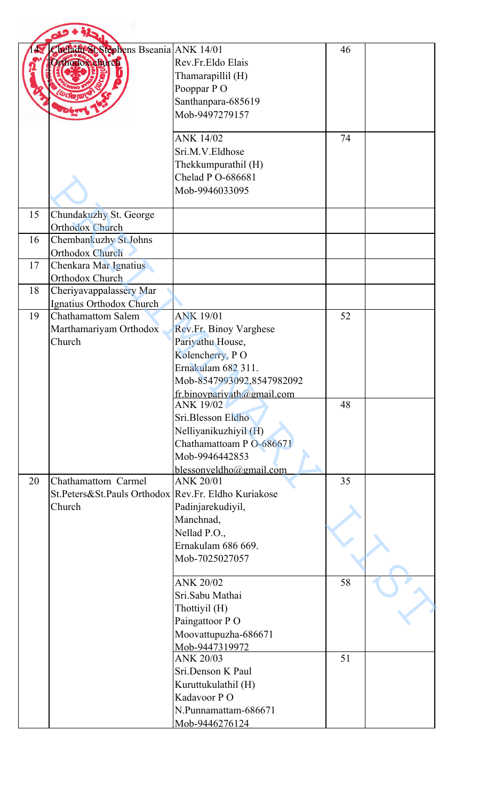|    | <b>Chefadit St Stephens Bseania ANK 14/01</b><br>thodoxefurch                        | Rev.Fr.Eldo Elais<br>Thamarapillil (H)<br>Pooppar PO<br>Santhanpara-685619<br>Mob-9497279157      | 46 |  |
|----|--------------------------------------------------------------------------------------|---------------------------------------------------------------------------------------------------|----|--|
|    |                                                                                      | <b>ANK 14/02</b><br>Sri.M.V.Eldhose<br>Thekkumpurathil (H)<br>Chelad P O-686681<br>Mob-9946033095 | 74 |  |
| 15 | Chundakuzhy St. George<br><b>Orthodox Church</b>                                     |                                                                                                   |    |  |
| 16 | Chembankuzhy St.Johns                                                                |                                                                                                   |    |  |
| 17 | <b>Orthodox Church</b><br>Chenkara Mar Ignatius<br>Orthodox Church                   |                                                                                                   |    |  |
| 18 | Cheriyavappalassery Mar                                                              |                                                                                                   |    |  |
| 19 | Ignatius Orthodox Church<br><b>Chathamattom Salem</b><br>Marthamariyam Orthodox      | <b>ANK 19/01</b><br>Rev.Fr. Binoy Varghese                                                        | 52 |  |
|    | Church                                                                               | Pariyathu House,<br>Kolencherry, PO                                                               |    |  |
|    |                                                                                      | Ernakulam 682 311.<br>Mob-8547993092,8547982092                                                   |    |  |
|    |                                                                                      | fr.binovpariyath@gmail.com<br><b>ANK 19/02</b><br>Sri.Blesson Eldho                               | 48 |  |
|    |                                                                                      | Nelliyanikuzhiyil (H)<br>Chathamattoam P O-686671<br>Mob-9946442853                               |    |  |
| 20 |                                                                                      | blessonyeldho@gmail.com<br><b>ANK 20/01</b>                                                       |    |  |
|    | Chathamattom Carmel<br>St.Peters&St.Pauls Orthodox Rev.Fr. Eldho Kuriakose<br>Church | Padinjarekudiyil,                                                                                 | 35 |  |
|    |                                                                                      | Manchnad,<br>Nellad P.O.,                                                                         |    |  |
|    |                                                                                      | Ernakulam 686 669.<br>Mob-7025027057                                                              |    |  |
|    |                                                                                      | <b>ANK 20/02</b><br>Sri.Sabu Mathai                                                               | 58 |  |
|    |                                                                                      | Thottiyil (H)<br>Paingattoor PO                                                                   |    |  |
|    |                                                                                      | Moovattupuzha-686671<br>Mob-9447319972                                                            |    |  |
|    |                                                                                      | <b>ANK 20/03</b><br>Sri.Denson K Paul                                                             | 51 |  |
|    |                                                                                      | Kuruttukulathil (H)                                                                               |    |  |
|    |                                                                                      | Kadavoor PO<br>N.Punnamattam-686671                                                               |    |  |
|    |                                                                                      | Mob-9446276124                                                                                    |    |  |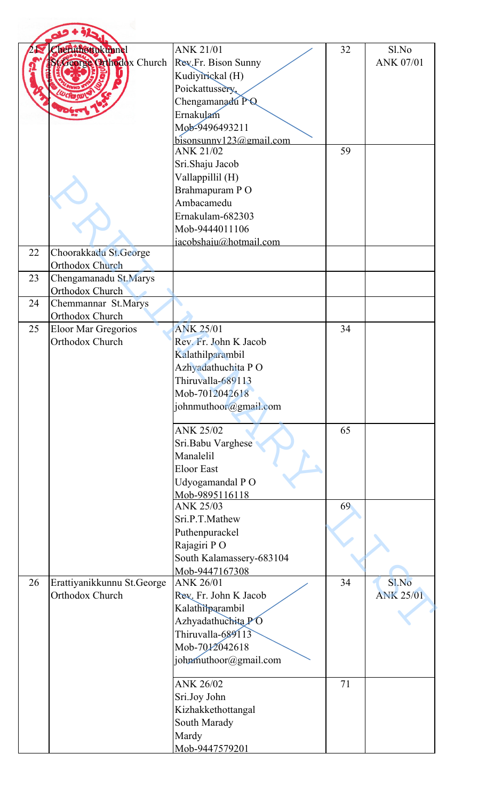|    | heruthottukunnel                           | <b>ANK 21/01</b>         | 32 | Sl.No            |
|----|--------------------------------------------|--------------------------|----|------------------|
|    | <b><i><u>Jeorge Chhodox</u></i></b> Church | Rev.Fr. Bison Sunny      |    | ANK 07/01        |
|    |                                            | Kudiyirickal (H)         |    |                  |
|    |                                            |                          |    |                  |
|    |                                            | Poickattussery,          |    |                  |
|    |                                            | Chengamanadu PQ          |    |                  |
|    |                                            | Ernakulam                |    |                  |
|    |                                            | Mob-9496493211           |    |                  |
|    |                                            | bisonsunny 123@gmail.com |    |                  |
|    |                                            | <b>ANK 21/02</b>         | 59 |                  |
|    |                                            | Sri.Shaju Jacob          |    |                  |
|    |                                            | Vallappillil (H)         |    |                  |
|    |                                            | Brahmapuram PO           |    |                  |
|    |                                            | Ambacamedu               |    |                  |
|    |                                            | Ernakulam-682303         |    |                  |
|    |                                            | Mob-9444011106           |    |                  |
|    |                                            |                          |    |                  |
|    |                                            | iacobshaiu@hotmail.com   |    |                  |
| 22 | Choorakkadu St.George                      |                          |    |                  |
|    | <b>Orthodox Church</b>                     |                          |    |                  |
| 23 | Chengamanadu St.Marys                      |                          |    |                  |
|    | Orthodox Church                            |                          |    |                  |
| 24 | Chemmannar St.Marys                        |                          |    |                  |
|    | Orthodox Church                            |                          |    |                  |
| 25 | Eloor Mar Gregorios                        | <b>ANK 25/01</b>         | 34 |                  |
|    | Orthodox Church                            | Rev. Fr. John K Jacob    |    |                  |
|    |                                            | Kalathilparambil         |    |                  |
|    |                                            | Azhyadathuchita PO       |    |                  |
|    |                                            | Thiruvalla-689113        |    |                  |
|    |                                            | Mob-7012042618           |    |                  |
|    |                                            | johnmuthoor@gmail.com    |    |                  |
|    |                                            |                          |    |                  |
|    |                                            | <b>ANK 25/02</b>         | 65 |                  |
|    |                                            | Sri.Babu Varghese        |    |                  |
|    |                                            | Manalelil                |    |                  |
|    |                                            | <b>Eloor East</b>        |    |                  |
|    |                                            |                          |    |                  |
|    |                                            | Udyogamandal PO          |    |                  |
|    |                                            | Mob-9895116118           |    |                  |
|    |                                            | <b>ANK 25/03</b>         | 69 |                  |
|    |                                            | Sri.P.T.Mathew           |    |                  |
|    |                                            | Puthenpurackel           |    |                  |
|    |                                            | Rajagiri PO              |    |                  |
|    |                                            | South Kalamassery-683104 |    |                  |
|    |                                            | Mob-9447167308           |    |                  |
| 26 | Erattiyanikkunnu St.George                 | ANK 26/01                | 34 | Sl.No            |
|    | Orthodox Church                            | Rev. Fr. John K Jacob    |    | <b>ANK 25/01</b> |
|    |                                            | Kalathilparambil         |    |                  |
|    |                                            |                          |    |                  |
|    |                                            | Azhyadathuchita PO       |    |                  |
|    |                                            | Thiruvalla-689113        |    |                  |
|    |                                            | Mob-7012042618           |    |                  |
|    |                                            | johnmuthoor@gmail.com    |    |                  |
|    |                                            |                          |    |                  |
|    |                                            | <b>ANK 26/02</b>         | 71 |                  |
|    |                                            | Sri.Joy John             |    |                  |
|    |                                            | Kizhakkethottangal       |    |                  |
|    |                                            | South Marady             |    |                  |
|    |                                            |                          |    |                  |
|    |                                            | Mardy<br>Mob-9447579201  |    |                  |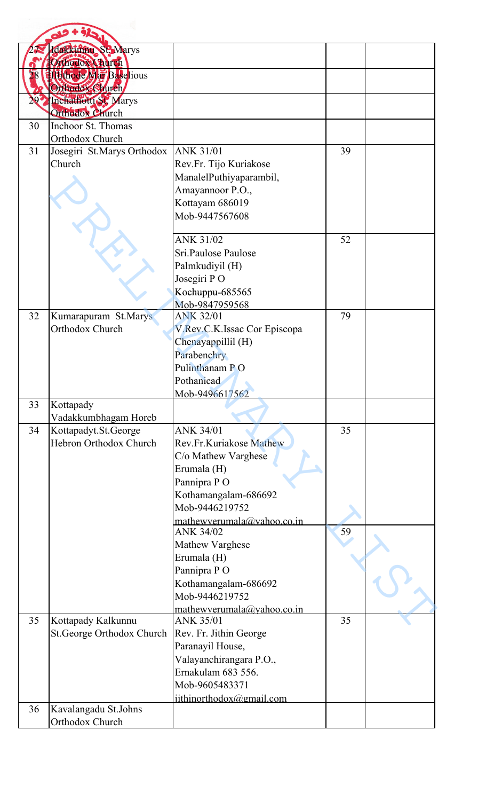|    | Idakkinthu St. Marys                                     |                                            |    |  |
|----|----------------------------------------------------------|--------------------------------------------|----|--|
|    | Orthodox Church                                          |                                            |    |  |
|    | <b>TH the de Mar Baselious</b><br><b>Orthodox Church</b> |                                            |    |  |
|    | Inchathotti St. Marys<br>Orthodox Church                 |                                            |    |  |
| 30 | Inchoor St. Thomas                                       |                                            |    |  |
|    | Orthodox Church                                          |                                            |    |  |
| 31 | Josegiri St.Marys Orthodox                               | <b>ANK 31/01</b>                           | 39 |  |
|    | Church                                                   | Rev.Fr. Tijo Kuriakose                     |    |  |
|    |                                                          | ManalelPuthiyaparambil,                    |    |  |
|    |                                                          | Amayannoor P.O.,                           |    |  |
|    |                                                          | Kottayam 686019                            |    |  |
|    |                                                          | Mob-9447567608                             |    |  |
|    |                                                          | ANK 31/02                                  | 52 |  |
|    |                                                          | Sri.Paulose Paulose                        |    |  |
|    |                                                          | Palmkudiyil (H)                            |    |  |
|    |                                                          | Josegiri PO                                |    |  |
|    |                                                          | Kochuppu-685565                            |    |  |
|    |                                                          | Mob-9847959568                             |    |  |
| 32 | Kumarapuram St.Marys                                     | <b>ANK 32/01</b>                           | 79 |  |
|    | Orthodox Church                                          | V.Rev.C.K.Issac Cor Episcopa               |    |  |
|    |                                                          | Chenayappillil (H)                         |    |  |
|    |                                                          | Parabenchry                                |    |  |
|    |                                                          | Pulinthanam PO                             |    |  |
|    |                                                          | Pothanicad                                 |    |  |
| 33 | Kottapady                                                | Mob-9496617562                             |    |  |
|    | Vadakkumbhagam Horeb                                     |                                            |    |  |
| 34 | Kottapadyt.St.George                                     | ANK 34/01                                  | 35 |  |
|    | Hebron Orthodox Church                                   | Rev.Fr.Kuriakose Mathew                    |    |  |
|    |                                                          | C/o Mathew Varghese                        |    |  |
|    |                                                          | Erumala (H)                                |    |  |
|    |                                                          | Pannipra PO                                |    |  |
|    |                                                          | Kothamangalam-686692                       |    |  |
|    |                                                          | Mob-9446219752                             |    |  |
|    |                                                          | mathewverumala@vahoo.co.in                 |    |  |
|    |                                                          | <b>ANK 34/02</b>                           | 59 |  |
|    |                                                          | Mathew Varghese<br>Erumala (H)             |    |  |
|    |                                                          | Pannipra PO                                |    |  |
|    |                                                          | Kothamangalam-686692                       |    |  |
|    |                                                          | Mob-9446219752                             |    |  |
|    |                                                          | mathewverumala@yahoo.co.in                 |    |  |
| 35 | Kottapady Kalkunnu                                       | <b>ANK 35/01</b>                           | 35 |  |
|    | St.George Orthodox Church                                | Rev. Fr. Jithin George<br>Paranayil House, |    |  |
|    |                                                          | Valayanchirangara P.O.,                    |    |  |
|    |                                                          | Ernakulam 683 556.                         |    |  |
|    |                                                          | Mob-9605483371                             |    |  |
|    |                                                          | jithinorthodox@gmail.com                   |    |  |
| 36 | Kavalangadu St.Johns                                     |                                            |    |  |
|    | Orthodox Church                                          |                                            |    |  |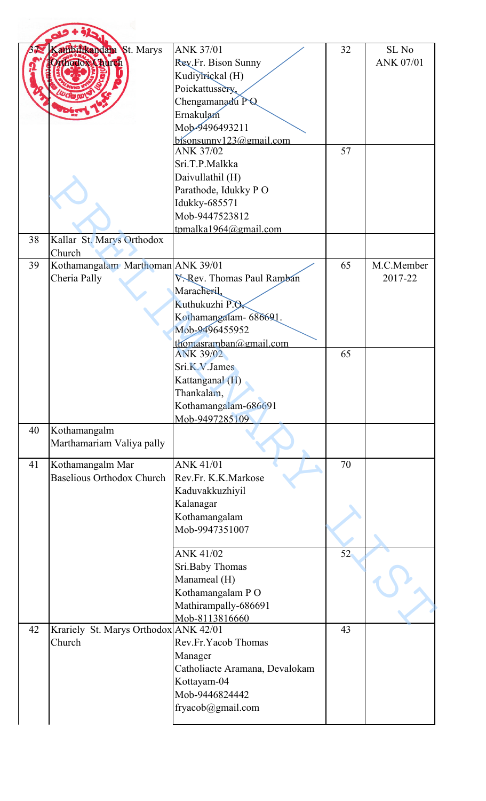|    | ambilikandam St. Marys<br>thodox Church              | <b>ANK 37/01</b><br>Rev.Fr. Bison Sunny<br>Kudiyirickal (H)<br>Poickattussery,<br>Chengamanadu PQ<br>Ernakulam                                                                                 | 32 | SL <sub>No</sub><br>ANK 07/01 |
|----|------------------------------------------------------|------------------------------------------------------------------------------------------------------------------------------------------------------------------------------------------------|----|-------------------------------|
|    |                                                      | Mob-9496493211<br>$b$ isonsunny $123$ @gmail.com<br><b>ANK 37/02</b><br>Sri.T.P.Malkka<br>Daivullathil (H)<br>Parathode, Idukky PO<br>Idukky-685571<br>Mob-9447523812<br>tpmalka1964@gmail.com | 57 |                               |
| 38 | Kallar St. Marys Orthodox<br>Church                  |                                                                                                                                                                                                |    |                               |
| 39 | Kothamangalam Marthoman ANK 39/01<br>Cheria Pally    | V. Rev. Thomas Paul Ramban<br>Maracheril,<br>Kuthukuzhi P.O.<br>Kothamangalam- 686691.<br>Mob-9496455952<br>thomasramban@gmail.com                                                             | 65 | M.C.Member<br>2017-22         |
|    |                                                      | <b>ANK 39/02</b><br>Sri.K.V.James<br>Kattanganal (H)<br>Thankalam,<br>Kothamangalam-686691<br>Mob-9497285109                                                                                   | 65 |                               |
| 40 | Kothamangalm<br>Marthamariam Valiya pally            |                                                                                                                                                                                                |    |                               |
| 41 | Kothamangalm Mar<br><b>Baselious Orthodox Church</b> | <b>ANK 41/01</b><br>Rev.Fr. K.K.Markose<br>Kaduvakkuzhiyil<br>Kalanagar<br>Kothamangalam<br>Mob-9947351007                                                                                     | 70 |                               |
|    |                                                      | <b>ANK 41/02</b><br>Sri.Baby Thomas<br>Manameal (H)<br>Kothamangalam PO<br>Mathirampally-686691<br>Mob-8113816660                                                                              | 52 |                               |
| 42 | Krariely St. Marys Orthodox ANK 42/01<br>Church      | Rev.Fr.Yacob Thomas<br>Manager<br>Catholiacte Aramana, Devalokam<br>Kottayam-04<br>Mob-9446824442<br>fryacob@gmail.com                                                                         | 43 |                               |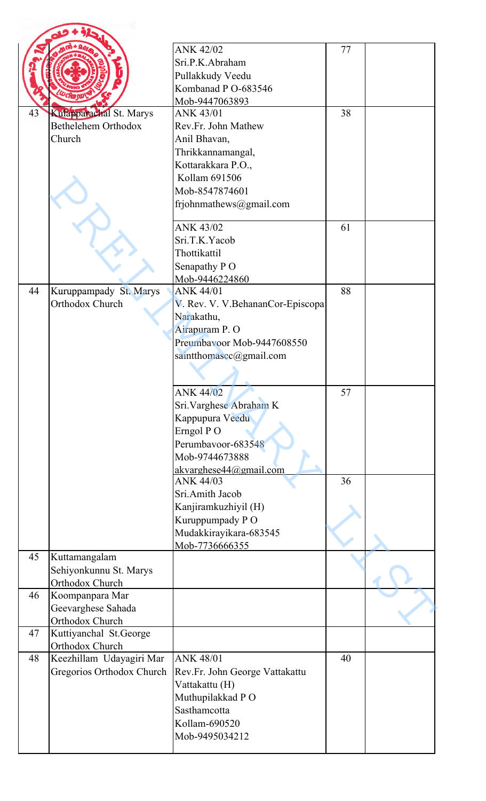|    |                                       | <b>ANK 42/02</b>                  | 77 |  |
|----|---------------------------------------|-----------------------------------|----|--|
|    |                                       | Sri.P.K.Abraham                   |    |  |
|    |                                       | Pullakkudy Veedu                  |    |  |
|    |                                       | Kombanad P O-683546               |    |  |
|    |                                       | Mob-9447063893                    |    |  |
| 43 | Kulapparachal St. Marys               | <b>ANK 43/01</b>                  | 38 |  |
|    | Bethelehem Orthodox                   | Rev.Fr. John Mathew               |    |  |
|    | Church                                | Anil Bhavan,                      |    |  |
|    |                                       | Thrikkannamangal,                 |    |  |
|    |                                       | Kottarakkara P.O.,                |    |  |
|    |                                       | Kollam 691506                     |    |  |
|    |                                       | Mob-8547874601                    |    |  |
|    |                                       | frjohnmathews@gmail.com           |    |  |
|    |                                       |                                   |    |  |
|    |                                       | <b>ANK 43/02</b>                  | 61 |  |
|    |                                       | Sri.T.K.Yacob                     |    |  |
|    |                                       | Thottikattil                      |    |  |
|    |                                       | Senapathy PO                      |    |  |
|    |                                       | Mob-9446224860                    |    |  |
| 44 | Kuruppampady St. Marys                | <b>ANK 44/01</b>                  | 88 |  |
|    | Orthodox Church                       | V. Rev. V. V. BehananCor-Episcopa |    |  |
|    |                                       | Narakathu,                        |    |  |
|    |                                       | Airapuram P.O                     |    |  |
|    |                                       | Preumbayoor Mob-9447608550        |    |  |
|    |                                       | saintthomascc@gmail.com           |    |  |
|    |                                       |                                   |    |  |
|    |                                       | <b>ANK 44/02</b>                  | 57 |  |
|    |                                       | Sri. Varghese Abraham K           |    |  |
|    |                                       | Kappupura Veedu                   |    |  |
|    |                                       | Erngol PO                         |    |  |
|    |                                       | Perumbavoor-683548                |    |  |
|    |                                       | Mob-9744673888                    |    |  |
|    |                                       | akvarghese44@gmail.com            |    |  |
|    |                                       | ANK 44/03                         | 36 |  |
|    |                                       | Sri.Amith Jacob                   |    |  |
|    |                                       | Kanjiramkuzhiyil (H)              |    |  |
|    |                                       | Kuruppumpady PO                   |    |  |
|    |                                       | Mudakkirayikara-683545            |    |  |
|    |                                       | Mob-7736666355                    |    |  |
| 45 | Kuttamangalam                         |                                   |    |  |
|    | Sehiyonkunnu St. Marys                |                                   |    |  |
| 46 | Orthodox Church                       |                                   |    |  |
|    | Koompanpara Mar                       |                                   |    |  |
|    | Geevarghese Sahada<br>Orthodox Church |                                   |    |  |
| 47 | Kuttiyanchal St.George                |                                   |    |  |
|    | Orthodox Church                       |                                   |    |  |
| 48 | Keezhillam Udayagiri Mar              | <b>ANK 48/01</b>                  | 40 |  |
|    | Gregorios Orthodox Church             | Rev.Fr. John George Vattakattu    |    |  |
|    |                                       | Vattakattu (H)                    |    |  |
|    |                                       | Muthupilakkad PO                  |    |  |
|    |                                       | Sasthamcotta                      |    |  |
|    |                                       | Kollam-690520                     |    |  |
|    |                                       | Mob-9495034212                    |    |  |
|    |                                       |                                   |    |  |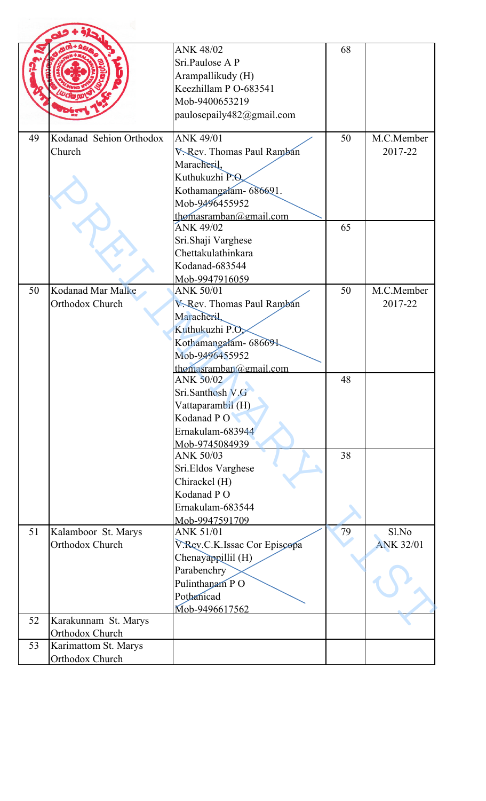|          |                                                                 | <b>ANK 48/02</b><br>Sri.Paulose A P<br>Arampallikudy (H)<br>Keezhillam P O-683541<br>Mob-9400653219<br>paulosepaily482@gmail.com                              | 68 |                           |
|----------|-----------------------------------------------------------------|---------------------------------------------------------------------------------------------------------------------------------------------------------------|----|---------------------------|
| 49       | Kodanad Sehion Orthodox<br>Church                               | <b>ANK 49/01</b><br>V. Rev. Thomas Paul Ramban<br>Maracheril,<br>Kuthukuzhi P.Q<br>Kothamangalam- 686691.<br>Mob-9496455952<br>thomasramban@gmail.com         | 50 | M.C.Member<br>2017-22     |
|          |                                                                 | <b>ANK 49/02</b><br>Sri.Shaji Varghese<br>Chettakulathinkara<br>Kodanad-683544<br>Mob-9947916059                                                              | 65 |                           |
| 50       | <b>Kodanad Mar Malke</b><br>Orthodox Church                     | <b>ANK 50/01</b><br><b>V. Rev. Thomas Paul Ramban</b><br>Maracheril,<br>Kuthukuzhi P.O.<br>Kothamangalam- 686691.<br>Mob-9496455952<br>thomasramban@gmail.com | 50 | M.C.Member<br>2017-22     |
|          |                                                                 | <b>ANK 50/02</b><br>Sri.Santhosh V.G<br>Vattaparambil (H)<br>Kodanad PO<br>Ernakulam-683944<br>Mob-9745084939                                                 | 48 |                           |
|          |                                                                 | ANK 50/03<br>Sri.Eldos Varghese<br>Chirackel (H)<br>Kodanad PO<br>Ernakulam-683544<br>Mob-9947591709                                                          | 38 |                           |
| 51       | Kalamboor St. Marys<br>Orthodox Church                          | <b>ANK 51/01</b><br>V.Rev.C.K.Issac Cor Episcopa<br>Chenayappillil (H)<br>Parabenchry<br>Pulinthanam PO<br>Pothanicad<br>Mob-9496617562                       | 79 | Sl.No<br><b>ANK 32/01</b> |
| 52<br>53 | Karakunnam St. Marys<br>Orthodox Church<br>Karimattom St. Marys |                                                                                                                                                               |    |                           |
|          | Orthodox Church                                                 |                                                                                                                                                               |    |                           |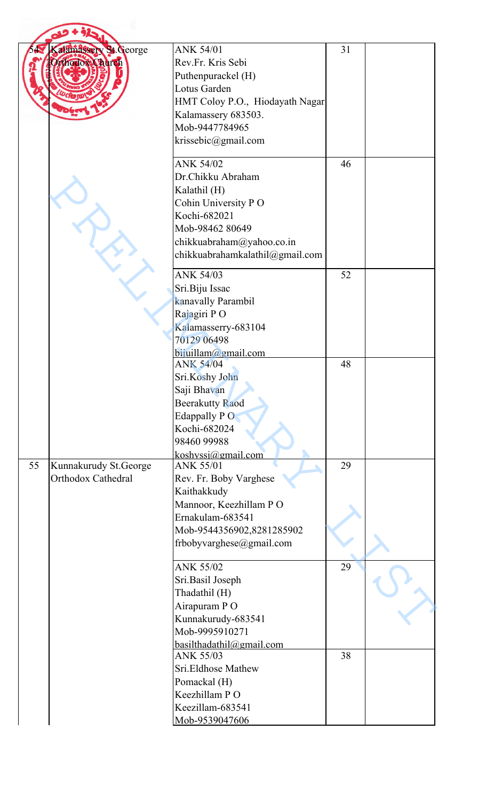|    | Calamassery St. George<br>odox Church       | <b>ANK 54/01</b><br>Rev.Fr. Kris Sebi<br>Puthenpurackel (H)<br>Lotus Garden<br>HMT Coloy P.O., Hiodayath Nagar<br>Kalamassery 683503.<br>Mob-9447784965<br>krissebic@gmail.com  | 31 |  |
|----|---------------------------------------------|---------------------------------------------------------------------------------------------------------------------------------------------------------------------------------|----|--|
|    |                                             | <b>ANK 54/02</b><br>Dr.Chikku Abraham<br>Kalathil (H)<br>Cohin University PO<br>Kochi-682021<br>Mob-98462 80649<br>chikkuabraham@yahoo.co.in<br>chikkuabrahamkalathil@gmail.com | 46 |  |
|    |                                             | <b>ANK 54/03</b><br>Sri.Biju Issac<br>kanavally Parambil<br>Rajagiri PO<br>Kalamasserry-683104<br>70129 06498<br>bijuillam@gmail.com                                            | 52 |  |
|    |                                             | <b>ANK 54/04</b><br>Sri.Koshy John<br>Saji Bhavan<br><b>Beerakutty Raod</b><br>Edappally PO<br>Kochi-682024<br>98460 99988<br>koshyssi@gmail.com                                | 48 |  |
| 55 | Kunnakurudy St.George<br>Orthodox Cathedral | <b>ANK 55/01</b><br>Rev. Fr. Boby Varghese<br>Kaithakkudy<br>Mannoor, Keezhillam PO<br>Ernakulam-683541<br>Mob-9544356902,8281285902<br>frbobyvarghese@gmail.com                | 29 |  |
|    |                                             | <b>ANK 55/02</b><br>Sri.Basil Joseph<br>Thadathil (H)<br>Airapuram PO<br>Kunnakurudy-683541<br>Mob-9995910271<br>basilthadathil@gmail.com                                       | 29 |  |
|    |                                             | <b>ANK 55/03</b><br>Sri.Eldhose Mathew<br>Pomackal (H)<br>Keezhillam PO<br>Keezillam-683541<br>Mob-9539047606                                                                   | 38 |  |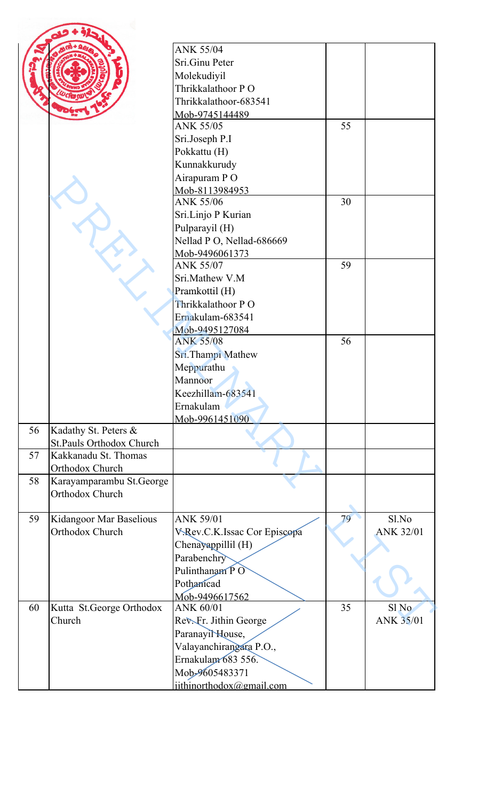|    |                                 | <b>ANK 55/04</b>                   |    |                  |
|----|---------------------------------|------------------------------------|----|------------------|
|    |                                 | Sri.Ginu Peter                     |    |                  |
|    |                                 | Molekudiyil                        |    |                  |
|    |                                 | Thrikkalathoor PO                  |    |                  |
|    |                                 | Thrikkalathoor-683541              |    |                  |
|    |                                 | Mob-9745144489                     |    |                  |
|    |                                 | <b>ANK 55/05</b>                   | 55 |                  |
|    |                                 | Sri.Joseph P.I                     |    |                  |
|    |                                 | Pokkattu (H)                       |    |                  |
|    |                                 | Kunnakkurudy                       |    |                  |
|    |                                 | Airapuram PO                       |    |                  |
|    |                                 | Mob-8113984953                     |    |                  |
|    |                                 | <b>ANK 55/06</b>                   | 30 |                  |
|    |                                 | Sri.Linjo P Kurian                 |    |                  |
|    |                                 | Pulparayil (H)                     |    |                  |
|    |                                 |                                    |    |                  |
|    |                                 | Nellad P O, Nellad-686669          |    |                  |
|    |                                 | Mob-9496061373<br><b>ANK 55/07</b> | 59 |                  |
|    |                                 |                                    |    |                  |
|    |                                 | Sri.Mathew V.M                     |    |                  |
|    |                                 | Pramkottil (H)                     |    |                  |
|    |                                 | Thrikkalathoor PO                  |    |                  |
|    |                                 | Ernakulam-683541                   |    |                  |
|    |                                 | Mob-9495127084                     |    |                  |
|    |                                 | <b>ANK 55/08</b>                   | 56 |                  |
|    |                                 | Sri.Thampi Mathew                  |    |                  |
|    |                                 | Meppurathu                         |    |                  |
|    |                                 | Mannoor                            |    |                  |
|    |                                 | Keezhillam-683541                  |    |                  |
|    |                                 | Ernakulam                          |    |                  |
|    |                                 | Mob-9961451090                     |    |                  |
| 56 | Kadathy St. Peters &            |                                    |    |                  |
|    | <b>St.Pauls Orthodox Church</b> |                                    |    |                  |
| 57 | Kakkanadu St. Thomas            |                                    |    |                  |
|    | Orthodox Church                 |                                    |    |                  |
| 58 | Karayamparambu St.George        |                                    |    |                  |
|    | Orthodox Church                 |                                    |    |                  |
|    |                                 |                                    |    |                  |
| 59 | Kidangoor Mar Baselious         | <b>ANK 59/01</b>                   | 79 | Sl.No            |
|    | Orthodox Church                 | V.Rev.C.K.Issac Cor Episcopa       |    | ANK 32/01        |
|    |                                 | Chenayappillil (H)                 |    |                  |
|    |                                 | Parabenchry                        |    |                  |
|    |                                 | Pulinthanam PO                     |    |                  |
|    |                                 | Pothanicad                         |    |                  |
|    |                                 | Mob-9496617562                     |    |                  |
| 60 | Kutta St.George Orthodox        | <b>ANK 60/01</b>                   | 35 | Sl <sub>No</sub> |
|    | Church                          | Rev. Fr. Jithin George             |    | ANK 35/01        |
|    |                                 | Paranayil House,                   |    |                  |
|    |                                 | Valayanchirangara P.O.,            |    |                  |
|    |                                 | Ernakulam 683 556.                 |    |                  |
|    |                                 | Mob-9605483371                     |    |                  |
|    |                                 |                                    |    |                  |
|    |                                 | jithinorthodox@gmail.com           |    |                  |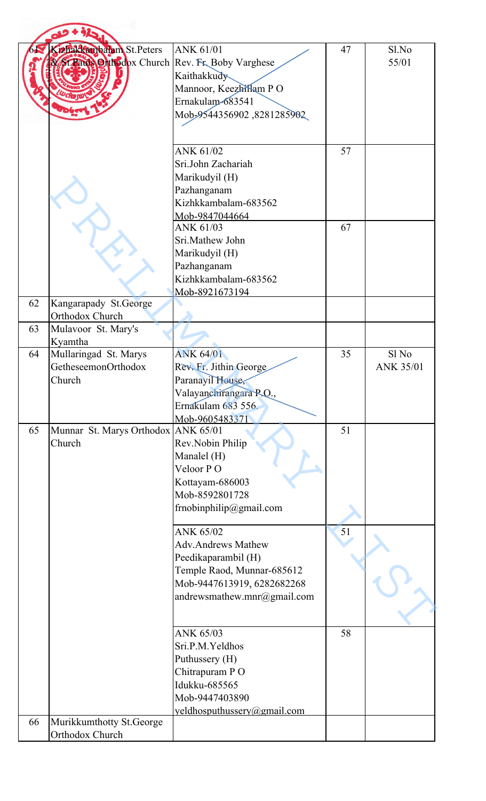|    | Chakkanbalam St.Peters<br>St.Pauls Onthodox Church Rev. Fr. Boby Varghese | <b>ANK 61/01</b><br>Kaithakkudy<br>Mannoor, Keezhillam PO<br>Ernakulam-683541<br>Mob-9544356902,8281285902                                                                                          | 47       | Sl.No<br>55/01            |
|----|---------------------------------------------------------------------------|-----------------------------------------------------------------------------------------------------------------------------------------------------------------------------------------------------|----------|---------------------------|
|    |                                                                           | ANK 61/02<br>Sri.John Zachariah<br>Marikudyil (H)<br>Pazhanganam<br>Kizhkkambalam-683562<br>Mob-9847044664<br>ANK 61/03<br>Sri.Mathew John<br>Marikudyil (H)<br>Pazhanganam<br>Kizhkkambalam-683562 | 57<br>67 |                           |
|    |                                                                           | Mob-8921673194                                                                                                                                                                                      |          |                           |
| 62 | Kangarapady St.George<br>Orthodox Church                                  |                                                                                                                                                                                                     |          |                           |
| 63 | Mulavoor St. Mary's<br>Kyamtha                                            |                                                                                                                                                                                                     |          |                           |
| 64 | Mullaringad St. Marys<br>GetheseemonOrthodox<br>Church                    | <b>ANK 64/01</b><br>Rev. Fr. Jithin George<br>Paranayil House,<br>Valayanchirangara P.O.,<br>Ernakulam 683 556.                                                                                     | 35       | Sl No<br><b>ANK 35/01</b> |
| 65 | Munnar St. Marys Orthodox ANK 65/01<br>Church                             | Mob-9605483371<br>Rev.Nobin Philip<br>Manalel (H)<br>Veloor PO<br>Kottayam-686003<br>Mob-8592801728<br>frnobinphilip@gmail.com                                                                      | 51       |                           |
|    |                                                                           | <b>ANK 65/02</b><br><b>Adv.Andrews Mathew</b><br>Peedikaparambil (H)<br>Temple Raod, Munnar-685612<br>Mob-9447613919, 6282682268<br>andrewsmathew.mnr@gmail.com                                     | 51       |                           |
|    |                                                                           | ANK 65/03<br>Sri.P.M.Yeldhos<br>Puthussery (H)<br>Chitrapuram PO<br>Idukku-685565<br>Mob-9447403890<br>yeldhosputhussery@gmail.com                                                                  | 58       |                           |
| 66 | Murikkumthotty St.George                                                  |                                                                                                                                                                                                     |          |                           |
|    | Orthodox Church                                                           |                                                                                                                                                                                                     |          |                           |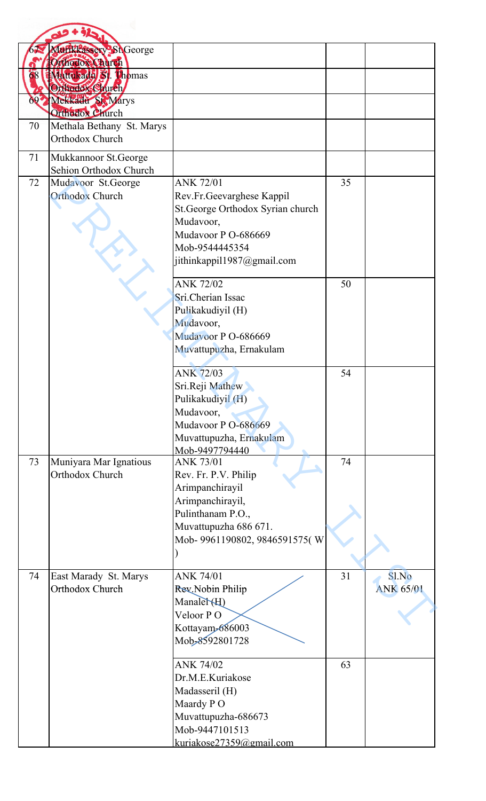|     | Mufikkassery St George    |                                    |    |                  |
|-----|---------------------------|------------------------------------|----|------------------|
|     | Orthodox Church           |                                    |    |                  |
|     | Mutukada S. Thomas        |                                    |    |                  |
|     | Orthodox Church           |                                    |    |                  |
| 692 | Mekkadu St. Marys         |                                    |    |                  |
|     | Orthodox Church           |                                    |    |                  |
| 70  | Methala Bethany St. Marys |                                    |    |                  |
|     | Orthodox Church           |                                    |    |                  |
| 71  | Mukkannoor St.George      |                                    |    |                  |
|     | Sehion Orthodox Church    |                                    |    |                  |
| 72  | Mudavoor St.George        | <b>ANK 72/01</b>                   | 35 |                  |
|     | <b>Orthodox Church</b>    | Rev.Fr.Geevarghese Kappil          |    |                  |
|     |                           | St.George Orthodox Syrian church   |    |                  |
|     |                           | Mudavoor,                          |    |                  |
|     |                           | Mudavoor P O-686669                |    |                  |
|     |                           | Mob-9544445354                     |    |                  |
|     |                           | jithinkappil1987@gmail.com         |    |                  |
|     |                           | <b>ANK 72/02</b>                   | 50 |                  |
|     |                           | Sri.Cherian Issac                  |    |                  |
|     |                           | Pulikakudiyil (H)                  |    |                  |
|     |                           | Mudavoor,                          |    |                  |
|     |                           | Mudavoor P O-686669                |    |                  |
|     |                           | Muvattupuzha, Ernakulam            |    |                  |
|     |                           | <b>ANK 72/03</b>                   | 54 |                  |
|     |                           | Sri.Reji Mathew                    |    |                  |
|     |                           | Pulikakudiyil (H)                  |    |                  |
|     |                           | Mudavoor,                          |    |                  |
|     |                           | Mudavoor P O-686669                |    |                  |
|     |                           | Muvattupuzha, Ernakulam            |    |                  |
| 73  | Muniyara Mar Ignatious    | Mob-9497794440<br><b>ANK 73/01</b> | 74 |                  |
|     | Orthodox Church           | Rev. Fr. P.V. Philip               |    |                  |
|     |                           | Arimpanchirayil                    |    |                  |
|     |                           | Arimpanchirayil,                   |    |                  |
|     |                           | Pulinthanam P.O.,                  |    |                  |
|     |                           | Muvattupuzha 686 671.              |    |                  |
|     |                           | Mob- 9961190802, 9846591575(W      |    |                  |
|     |                           |                                    |    |                  |
| 74  | East Marady St. Marys     | <b>ANK 74/01</b>                   | 31 | Sl.No            |
|     | Orthodox Church           | Rev. Nobin Philip                  |    | <b>ANK 65/01</b> |
|     |                           | Manaler(H)                         |    |                  |
|     |                           | Veloor PO                          |    |                  |
|     |                           | Kottayam-686003                    |    |                  |
|     |                           | Mob-8592801728                     |    |                  |
|     |                           | <b>ANK 74/02</b>                   | 63 |                  |
|     |                           | Dr.M.E.Kuriakose                   |    |                  |
|     |                           | Madasseril (H)                     |    |                  |
|     |                           | Maardy PO                          |    |                  |
|     |                           | Muvattupuzha-686673                |    |                  |
|     |                           | Mob-9447101513                     |    |                  |
|     |                           | kuriakose27359@gmail.com           |    |                  |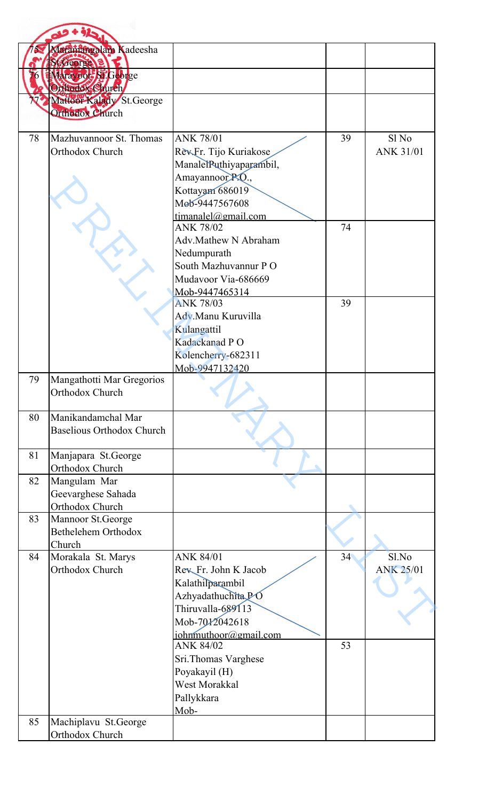|    | Maramangalam Kadeesha            |                                         |    |                  |
|----|----------------------------------|-----------------------------------------|----|------------------|
|    | <b>Stroeorge 3</b>               |                                         |    |                  |
| 76 | Marayook St.George               |                                         |    |                  |
|    | Orthodox Church                  |                                         |    |                  |
|    | Mattoor Kalady St.George         |                                         |    |                  |
|    | Orthodox Church                  |                                         |    |                  |
|    |                                  |                                         |    |                  |
| 78 | Mazhuvannoor St. Thomas          | <b>ANK 78/01</b>                        | 39 | Sl <sub>No</sub> |
|    | Orthodox Church                  | Rev.Fr. Tijo Kuriakose                  |    | <b>ANK 31/01</b> |
|    |                                  | ManalelPuthiyaparambil,                 |    |                  |
|    |                                  | Amayannoor <sub>RQ.,</sub>              |    |                  |
|    |                                  | Kottayam 686019                         |    |                  |
|    |                                  | Mob-9447567608                          |    |                  |
|    |                                  | timanalel@gmail.com<br><b>ANK 78/02</b> | 74 |                  |
|    |                                  | Adv.Mathew N Abraham                    |    |                  |
|    |                                  | Nedumpurath                             |    |                  |
|    |                                  | South Mazhuvannur PO                    |    |                  |
|    |                                  | Mudavoor Via-686669                     |    |                  |
|    |                                  | Mob-9447465314                          |    |                  |
|    |                                  | <b>ANK 78/03</b>                        | 39 |                  |
|    |                                  | Adv.Manu Kuruvilla                      |    |                  |
|    |                                  | Kulangattil                             |    |                  |
|    |                                  | Kadackanad PO                           |    |                  |
|    |                                  | Kolencherry-682311                      |    |                  |
|    |                                  | Mob-9947132420                          |    |                  |
| 79 | Mangathotti Mar Gregorios        |                                         |    |                  |
|    | Orthodox Church                  |                                         |    |                  |
| 80 | Manikandamchal Mar               |                                         |    |                  |
|    | <b>Baselious Orthodox Church</b> |                                         |    |                  |
|    |                                  |                                         |    |                  |
| 81 | Manjapara St.George              |                                         |    |                  |
|    | Orthodox Church                  |                                         |    |                  |
| 82 | Mangulam Mar                     |                                         |    |                  |
|    | Geevarghese Sahada               |                                         |    |                  |
|    | Orthodox Church                  |                                         |    |                  |
| 83 | Mannoor St.George                |                                         |    |                  |
|    | Bethelehem Orthodox              |                                         |    |                  |
| 84 | Church<br>Morakala St. Marys     | <b>ANK 84/01</b>                        | 34 | Sl.No            |
|    | Orthodox Church                  | Rev Fr. John K Jacob                    |    | <b>ANK 25/01</b> |
|    |                                  | Kalathilparambil                        |    |                  |
|    |                                  | Azhyadathuchita PO                      |    |                  |
|    |                                  | Thiruvalla-689113                       |    |                  |
|    |                                  | Mob-7012042618                          |    |                  |
|    |                                  | johnmuthoor@gmail.com                   |    |                  |
|    |                                  | <b>ANK 84/02</b>                        | 53 |                  |
|    |                                  | Sri.Thomas Varghese                     |    |                  |
|    |                                  | Poyakayil (H)                           |    |                  |
|    |                                  | West Morakkal                           |    |                  |
|    |                                  | Pallykkara                              |    |                  |
|    |                                  | Mob-                                    |    |                  |
| 85 | Machiplavu St.George             |                                         |    |                  |
|    | Orthodox Church                  |                                         |    |                  |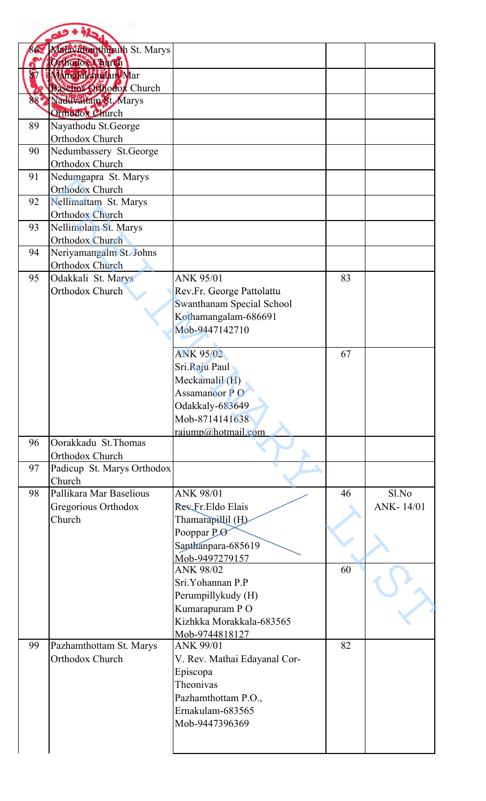|     | Malay than thuruth St. Marys              |                                                   |    |           |
|-----|-------------------------------------------|---------------------------------------------------|----|-----------|
|     | Othodox Church                            |                                                   |    |           |
|     | Mamalakandan Mar                          |                                                   |    |           |
|     | <b>Baselios Orhodox Church</b>            |                                                   |    |           |
| 887 | Naduvattam St Marys                       |                                                   |    |           |
|     | Orthodox Church                           |                                                   |    |           |
| 89  | Nayathodu St.George                       |                                                   |    |           |
|     | Orthodox Church                           |                                                   |    |           |
| 90  | Nedumbassery St.George<br>Orthodox Church |                                                   |    |           |
| 91  | Nedumgapra St. Marys                      |                                                   |    |           |
|     | <b>Orthodox Church</b>                    |                                                   |    |           |
| 92  | Nellimattam St. Marys                     |                                                   |    |           |
|     | <b>Orthodox Church</b>                    |                                                   |    |           |
| 93  | Nellimolam St. Marys                      |                                                   |    |           |
|     | Orthodox Church                           |                                                   |    |           |
| 94  | Neriyamangalm St. Johns                   |                                                   |    |           |
|     | Orthodox Church                           |                                                   |    |           |
| 95  | Odakkali St. Marys                        | <b>ANK 95/01</b>                                  | 83 |           |
|     | Orthodox Church                           | Rev.Fr. George Pattolattu                         |    |           |
|     |                                           | Swanthanam Special School<br>Kothamangalam-686691 |    |           |
|     |                                           | Mob-9447142710                                    |    |           |
|     |                                           |                                                   |    |           |
|     |                                           | <b>ANK 95/02</b>                                  | 67 |           |
|     |                                           | Sri.Raju Paul                                     |    |           |
|     |                                           | Meckamalil (H)                                    |    |           |
|     |                                           | Assamanoor PO                                     |    |           |
|     |                                           | Odakkaly-683649                                   |    |           |
|     |                                           | Mob-8714141638                                    |    |           |
|     |                                           | rajump@hotmail.com                                |    |           |
| 96  | Oorakkadu St.Thomas<br>Orthodox Church    |                                                   |    |           |
| 97  | Padicup St. Marys Orthodox                |                                                   |    |           |
|     | Church                                    |                                                   |    |           |
| 98  | Pallikara Mar Baselious                   | <b>ANK 98/01</b>                                  | 46 | Sl.No     |
|     | Gregorious Orthodox                       | Rev.Fr.Eldo Elais                                 |    | ANK-14/01 |
|     | Church                                    | Thamarapillil (H)                                 |    |           |
|     |                                           | Pooppar PO                                        |    |           |
|     |                                           | Santhanpara-685619                                |    |           |
|     |                                           | Mob-9497279157                                    |    |           |
|     |                                           | <b>ANK 98/02</b>                                  | 60 |           |
|     |                                           | Sri.Yohannan P.P                                  |    |           |
|     |                                           | Perumpillykudy (H)                                |    |           |
|     |                                           | Kumarapuram PO                                    |    |           |
|     |                                           | Kizhkka Morakkala-683565<br>Mob-9744818127        |    |           |
| 99  | Pazhamthottam St. Marys                   | <b>ANK 99/01</b>                                  | 82 |           |
|     | Orthodox Church                           | V. Rev. Mathai Edayanal Cor-                      |    |           |
|     |                                           | Episcopa                                          |    |           |
|     |                                           | Theonivas                                         |    |           |
|     |                                           | Pazhamthottam P.O.,                               |    |           |
|     |                                           | Ernakulam-683565                                  |    |           |
|     |                                           | Mob-9447396369                                    |    |           |
|     |                                           |                                                   |    |           |
|     |                                           |                                                   |    |           |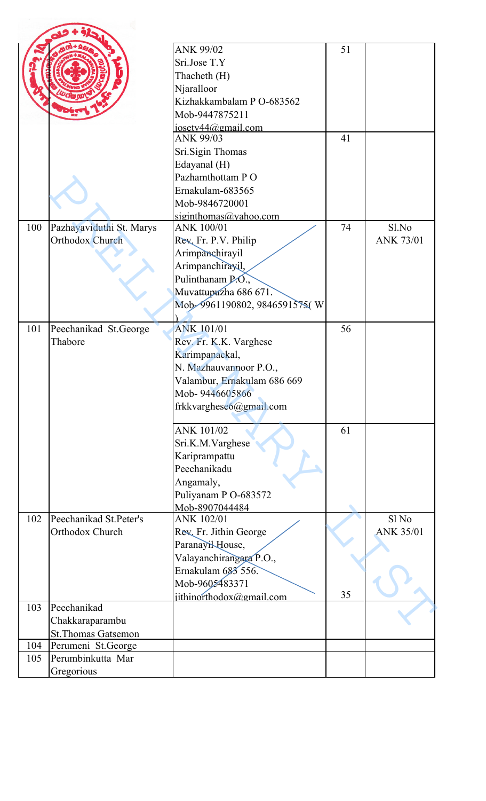|     |                                         | <b>ANK 99/02</b>             | 51 |                  |
|-----|-----------------------------------------|------------------------------|----|------------------|
|     |                                         | Sri.Jose T.Y                 |    |                  |
|     |                                         | Thacheth (H)                 |    |                  |
|     |                                         | Njaralloor                   |    |                  |
|     |                                         | Kizhakkambalam P O-683562    |    |                  |
|     |                                         | Mob-9447875211               |    |                  |
|     |                                         | josety44@gmail.com           |    |                  |
|     |                                         | ANK 99/03                    | 41 |                  |
|     |                                         | Sri.Sigin Thomas             |    |                  |
|     |                                         | Edayanal (H)                 |    |                  |
|     |                                         | Pazhamthottam PO             |    |                  |
|     |                                         | Ernakulam-683565             |    |                  |
|     |                                         | Mob-9846720001               |    |                  |
|     |                                         | siginthomas@yahoo.com        |    |                  |
| 100 | Pazhayaviduthi St. Marys                | ANK 100/01                   | 74 | Sl.No            |
|     | Orthodox Church                         | Rev. Fr. P.V. Philip         |    | <b>ANK 73/01</b> |
|     |                                         | Arimpanchirayil              |    |                  |
|     |                                         | Arimpanchirayil,             |    |                  |
|     |                                         | Pulinthanam P.O.,            |    |                  |
|     |                                         | Muvattupazha 686 671.        |    |                  |
|     |                                         | Mob-9961190802, 9846591575(W |    |                  |
|     |                                         |                              |    |                  |
| 101 | Peechanikad St.George                   | <b>ANK 101/01</b>            | 56 |                  |
|     | Thabore                                 | Rev. Fr. K.K. Varghese       |    |                  |
|     |                                         | Karimpanackal,               |    |                  |
|     |                                         | N. Mazhauvannoor P.O.,       |    |                  |
|     |                                         | Valambur, Ernakulam 686 669  |    |                  |
|     |                                         | Mob-9446605866               |    |                  |
|     |                                         | frkkvarghese6@gmail.com      |    |                  |
|     |                                         |                              |    |                  |
|     |                                         | ANK 101/02                   | 61 |                  |
|     |                                         | Sri.K.M.Varghese             |    |                  |
|     |                                         | Kariprampattu                |    |                  |
|     |                                         | Peechanikadu                 |    |                  |
|     |                                         |                              |    |                  |
|     |                                         | Angamaly,                    |    |                  |
|     |                                         | Puliyanam P O-683572         |    |                  |
| 102 | Peechanikad St.Peter's                  | Mob-8907044484<br>ANK 102/01 |    | Sl No            |
|     | Orthodox Church                         |                              |    | <b>ANK 35/01</b> |
|     |                                         | Rev. Fr. Jithin George       |    |                  |
|     |                                         | Paranayi <sub>ktouse</sub> , |    |                  |
|     |                                         | Valayanchirangara P.O.,      |    |                  |
|     |                                         | Ernakulam 683 556.           |    |                  |
|     |                                         | Mob-9605483371               | 35 |                  |
| 103 | Peechanikad                             | jithinorthodox@gmail.com     |    |                  |
|     |                                         |                              |    |                  |
|     | Chakkaraparambu                         |                              |    |                  |
| 104 | <b>St.Thomas Gatsemon</b>               |                              |    |                  |
| 105 | Perumeni St.George<br>Perumbinkutta Mar |                              |    |                  |
|     |                                         |                              |    |                  |
|     | Gregorious                              |                              |    |                  |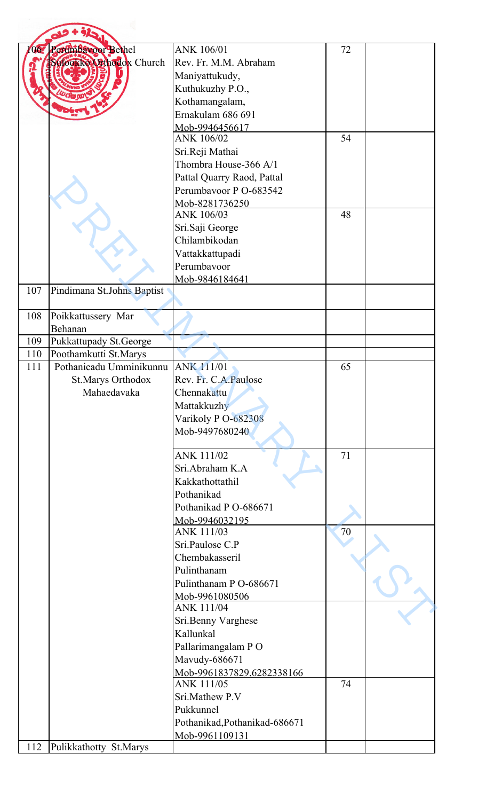|     | Perumbatoor Bethel                   | ANK 106/01                              | 72 |  |
|-----|--------------------------------------|-----------------------------------------|----|--|
|     | ulogkko Orthodox Church              | Rev. Fr. M.M. Abraham                   |    |  |
|     |                                      | Maniyattukudy,                          |    |  |
|     |                                      | Kuthukuzhy P.O.,                        |    |  |
|     |                                      | Kothamangalam,                          |    |  |
|     |                                      | Ernakulam 686 691                       |    |  |
|     |                                      | Mob-9946456617                          |    |  |
|     |                                      | ANK 106/02                              | 54 |  |
|     |                                      | Sri.Reji Mathai                         |    |  |
|     |                                      | Thombra House-366 A/1                   |    |  |
|     |                                      | Pattal Quarry Raod, Pattal              |    |  |
|     |                                      | Perumbavoor P O-683542                  |    |  |
|     |                                      | Mob-8281736250                          |    |  |
|     |                                      | ANK 106/03                              | 48 |  |
|     |                                      | Sri.Saji George                         |    |  |
|     |                                      | Chilambikodan                           |    |  |
|     |                                      | Vattakkattupadi                         |    |  |
|     |                                      | Perumbavoor                             |    |  |
|     |                                      | Mob-9846184641                          |    |  |
| 107 | Pindimana St.Johns Baptist           |                                         |    |  |
| 108 | Poikkattussery Mar                   |                                         |    |  |
|     | Behanan                              |                                         |    |  |
| 109 | Pukkattupady St.George               |                                         |    |  |
| 110 | Poothamkutti St.Marys                |                                         |    |  |
| 111 | Pothanicadu Umminikunnu   ANK 111/01 |                                         | 65 |  |
|     | <b>St.Marys Orthodox</b>             | Rev. Fr. C.A.Paulose                    |    |  |
|     | Mahaedavaka                          | Chennakattu                             |    |  |
|     |                                      | Mattakkuzhy                             |    |  |
|     |                                      | Varikoly PO-682308                      |    |  |
|     |                                      | Mob-9497680240                          |    |  |
|     |                                      | <b>ANK 111/02</b>                       | 71 |  |
|     |                                      | Sri.Abraham K.A                         |    |  |
|     |                                      | Kakkathottathil                         |    |  |
|     |                                      | Pothanikad                              |    |  |
|     |                                      | Pothanikad P O-686671                   |    |  |
|     |                                      | Mob-9946032195                          |    |  |
|     |                                      | ANK 111/03                              | 70 |  |
|     |                                      | Sri.Paulose C.P                         |    |  |
|     |                                      | Chembakasseril                          |    |  |
|     |                                      | Pulinthanam                             |    |  |
|     |                                      | Pulinthanam P O-686671                  |    |  |
|     |                                      | Mob-9961080506                          |    |  |
|     |                                      | <b>ANK 111/04</b>                       |    |  |
|     |                                      | Sri.Benny Varghese                      |    |  |
|     |                                      | Kallunkal                               |    |  |
|     |                                      | Pallarimangalam PO                      |    |  |
|     |                                      | Mavudy-686671                           |    |  |
|     |                                      | Mob-9961837829,6282338166<br>ANK 111/05 | 74 |  |
|     |                                      | Sri.Mathew P.V                          |    |  |
|     |                                      | Pukkunnel                               |    |  |
|     |                                      | Pothanikad, Pothanikad-686671           |    |  |
|     |                                      | Mob-9961109131                          |    |  |
| 112 | Pulikkathotty St.Marys               |                                         |    |  |
|     |                                      |                                         |    |  |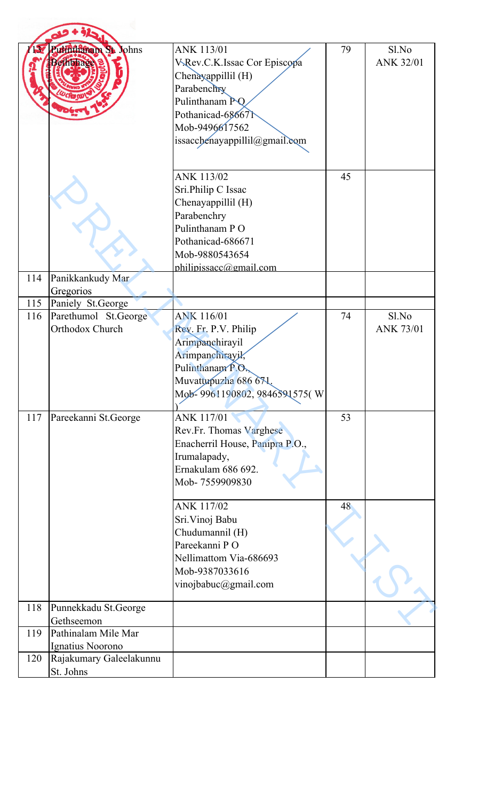|     | uththam St. Johns                           | <b>ANK 113/01</b><br>V.Rev.C.K.Issac Cor Episcopa<br>Chenayappillil (H)<br>Parabenchry<br>Pulinthanam PQ<br>Pothanicad-686671<br>Mob-9496617562<br>issacchenayappillil@gmail.com | 79 | Sl.No<br><b>ANK 32/01</b> |
|-----|---------------------------------------------|----------------------------------------------------------------------------------------------------------------------------------------------------------------------------------|----|---------------------------|
|     |                                             | ANK 113/02<br>Sri.Philip C Issac<br>Chenayappillil (H)<br>Parabenchry<br>Pulinthanam PO<br>Pothanicad-686671<br>Mob-9880543654<br>philipissacc@gmail.com                         | 45 |                           |
| 114 | Panikkankudy Mar<br>Gregorios               |                                                                                                                                                                                  |    |                           |
| 115 | Paniely St.George                           |                                                                                                                                                                                  |    |                           |
| 116 | Parethumol St.George                        | <b>ANK 116/01</b>                                                                                                                                                                | 74 | Sl.No                     |
|     | Orthodox Church                             | Rev. Fr. P.V. Philip<br>Arimpanchirayil<br>Arimpanchirayik,<br>Pulinthanam P.O.<br>Muvattupuzha 686 671.<br>Mob-9961190802, 9846591575(W                                         |    | <b>ANK 73/01</b>          |
| 117 | Pareekanni St.George                        | ANK 117/01<br>Rev.Fr. Thomas Varghese<br>Enacherril House, Panipra P.O.,<br>Irumalapady,<br>Ernakulam 686 692.<br>Mob-7559909830                                                 | 53 |                           |
|     |                                             | <b>ANK 117/02</b><br>Sri. Vinoj Babu<br>Chudumannil (H)<br>Pareekanni PO<br>Nellimattom Via-686693<br>Mob-9387033616<br>vinojbabuc@gmail.com                                     | 48 |                           |
| 118 | Punnekkadu St.George                        |                                                                                                                                                                                  |    |                           |
|     | Gethseemon                                  |                                                                                                                                                                                  |    |                           |
| 119 | Pathinalam Mile Mar                         |                                                                                                                                                                                  |    |                           |
| 120 | Ignatius Noorono<br>Rajakumary Galeelakunnu |                                                                                                                                                                                  |    |                           |
|     | St. Johns                                   |                                                                                                                                                                                  |    |                           |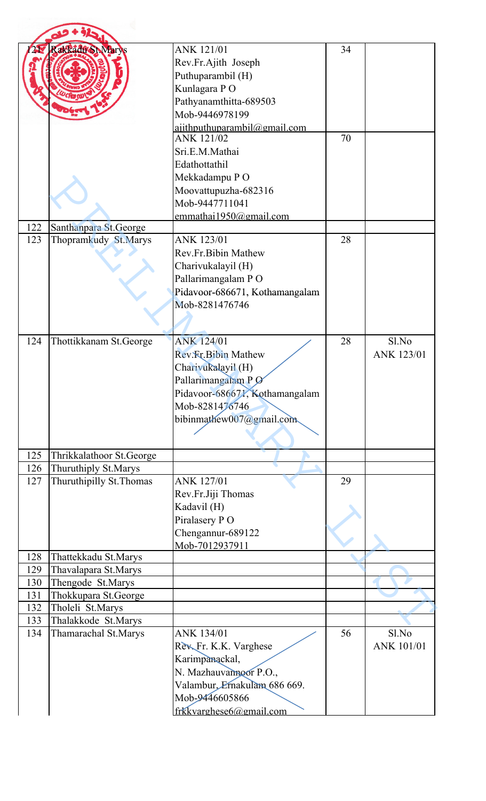|     | akkadd St Marys          | <b>ANK 121/01</b><br>Rev.Fr.Ajith Joseph              | 34 |                   |
|-----|--------------------------|-------------------------------------------------------|----|-------------------|
|     |                          | Puthuparambil (H)<br>Kunlagara PO                     |    |                   |
|     |                          | Pathyanamthitta-689503                                |    |                   |
|     |                          | Mob-9446978199                                        |    |                   |
|     |                          | $airl$ hputhuparambil $@g$ mail.com                   |    |                   |
|     |                          | <b>ANK 121/02</b>                                     | 70 |                   |
|     |                          | Sri.E.M.Mathai                                        |    |                   |
|     |                          | Edathottathil                                         |    |                   |
|     |                          | Mekkadampu PO                                         |    |                   |
|     |                          | Moovattupuzha-682316                                  |    |                   |
|     |                          | Mob-9447711041                                        |    |                   |
| 122 | Santhanpara St.George    | emmathai $1950@$ gmail.com                            |    |                   |
| 123 | Thopramkudy St.Marys     | <b>ANK 123/01</b>                                     | 28 |                   |
|     |                          | Rev.Fr.Bibin Mathew                                   |    |                   |
|     |                          | Charivukalayil (H)                                    |    |                   |
|     |                          | Pallarimangalam PO                                    |    |                   |
|     |                          | Pidavoor-686671, Kothamangalam                        |    |                   |
|     |                          | Mob-8281476746                                        |    |                   |
|     |                          |                                                       |    |                   |
|     |                          |                                                       |    |                   |
| 124 | Thottikkanam St.George   | <b>ANK 124/01</b>                                     | 28 | Sl.No             |
|     |                          | <b>Rev. Fr. Bibin Mathew</b>                          |    | <b>ANK 123/01</b> |
|     |                          | Charivukalayil (H)                                    |    |                   |
|     |                          | Pallarimangalam P Ø<br>Pidavoor-686671, Kothamangalam |    |                   |
|     |                          | Mob-8281476746                                        |    |                   |
|     |                          | bibinmathew007@gmail.com                              |    |                   |
|     |                          |                                                       |    |                   |
|     |                          |                                                       |    |                   |
| 125 | Thrikkalathoor St.George |                                                       |    |                   |
| 126 | Thuruthiply St.Marys     |                                                       |    |                   |
| 127 | Thuruthipilly St. Thomas | <b>ANK 127/01</b>                                     | 29 |                   |
|     |                          | Rev.Fr.Jiji Thomas                                    |    |                   |
|     |                          | Kadavil (H)                                           |    |                   |
|     |                          | Piralasery PO                                         |    |                   |
|     |                          | Chengannur-689122                                     |    |                   |
| 128 | Thattekkadu St.Marys     | Mob-7012937911                                        |    |                   |
| 129 | Thavalapara St.Marys     |                                                       |    |                   |
| 130 | Thengode St.Marys        |                                                       |    |                   |
| 131 | Thokkupara St.George     |                                                       |    |                   |
| 132 | Tholeli St.Marys         |                                                       |    |                   |
| 133 | Thalakkode St.Marys      |                                                       |    |                   |
| 134 | Thamarachal St.Marys     | ANK 134/01                                            | 56 | Sl.No             |
|     |                          | Rev. Fr. K.K. Varghese                                |    | ANK 101/01        |
|     |                          | Karimpanackal,                                        |    |                   |
|     |                          | N. Mazhauvannoor P.O.,                                |    |                   |
|     |                          | Valambur, Ernakulam 686 669.<br>Mob-9446605866        |    |                   |
|     |                          | frkkvarghese6@gmail.com                               |    |                   |
|     |                          |                                                       |    |                   |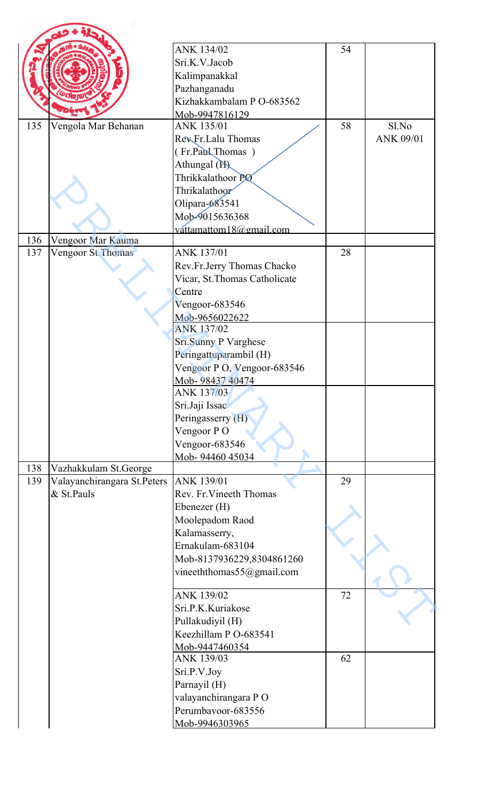|            |                             | ANK 134/02                          | 54 |           |
|------------|-----------------------------|-------------------------------------|----|-----------|
|            |                             | Sri.K.V.Jacob                       |    |           |
|            |                             |                                     |    |           |
|            |                             | Kalimpanakkal                       |    |           |
|            |                             | Pazhanganadu                        |    |           |
|            |                             | Kizhakkambalam P O-683562           |    |           |
| 135        | Vengola Mar Behanan         | Mob-9947816129<br>ANK 135/01        | 58 | Sl.No     |
|            |                             | RevFr.Lalu Thomas                   |    | ANK 09/01 |
|            |                             |                                     |    |           |
|            |                             | (Fr.Paul Thomas)                    |    |           |
|            |                             | Athungal (H)                        |    |           |
|            |                             | Thrikkalathoor PØ                   |    |           |
|            |                             | Thrikalathoor                       |    |           |
|            |                             | Olipara-683541                      |    |           |
|            |                             | Mob-9015636368                      |    |           |
|            |                             | váttamattom18@gmail.com             |    |           |
| 136<br>137 | Vengoor Mar Kauma           | ANK 137/01                          | 28 |           |
|            | Vengoor St. Thomas          | Rev.Fr.Jerry Thomas Chacko          |    |           |
|            |                             |                                     |    |           |
|            |                             | Vicar, St. Thomas Catholicate       |    |           |
|            |                             | Centre                              |    |           |
|            |                             | Vengoor-683546                      |    |           |
|            |                             | Mob-9656022622<br><b>ANK 137/02</b> |    |           |
|            |                             |                                     |    |           |
|            |                             | Sri.Sunny P Varghese                |    |           |
|            |                             | Peringattuparambil (H)              |    |           |
|            |                             | Vengoor P O, Vengoor-683546         |    |           |
|            |                             | Mob- 98437 40474                    |    |           |
|            |                             | ANK 137/03                          |    |           |
|            |                             | Sri.Jaji Issac                      |    |           |
|            |                             | Peringasserry (H)                   |    |           |
|            |                             | Vengoor PO                          |    |           |
|            |                             | Vengoor-683546                      |    |           |
|            |                             | Mob- 94460 45034                    |    |           |
| 138        | Vazhakkulam St.George       |                                     |    |           |
| 139        | Valayanchirangara St.Peters | ANK 139/01                          | 29 |           |
|            | & St.Pauls                  | Rev. Fr. Vineeth Thomas             |    |           |
|            |                             | Ebenezer (H)                        |    |           |
|            |                             | Moolepadom Raod                     |    |           |
|            |                             | Kalamasserry,                       |    |           |
|            |                             | Ernakulam-683104                    |    |           |
|            |                             | Mob-8137936229,8304861260           |    |           |
|            |                             | vineeththomas55@gmail.com           |    |           |
|            |                             |                                     |    |           |
|            |                             | ANK 139/02<br>Sri.P.K.Kuriakose     | 72 |           |
|            |                             |                                     |    |           |
|            |                             | Pullakudiyil (H)                    |    |           |
|            |                             | Keezhillam P O-683541               |    |           |
|            |                             | Mob-9447460354<br>ANK 139/03        | 62 |           |
|            |                             |                                     |    |           |
|            |                             | Sri.P.V.Joy                         |    |           |
|            |                             | Parnayil (H)                        |    |           |
|            |                             | valayanchirangara PO                |    |           |
|            |                             | Perumbavoor-683556                  |    |           |
|            |                             | Mob-9946303965                      |    |           |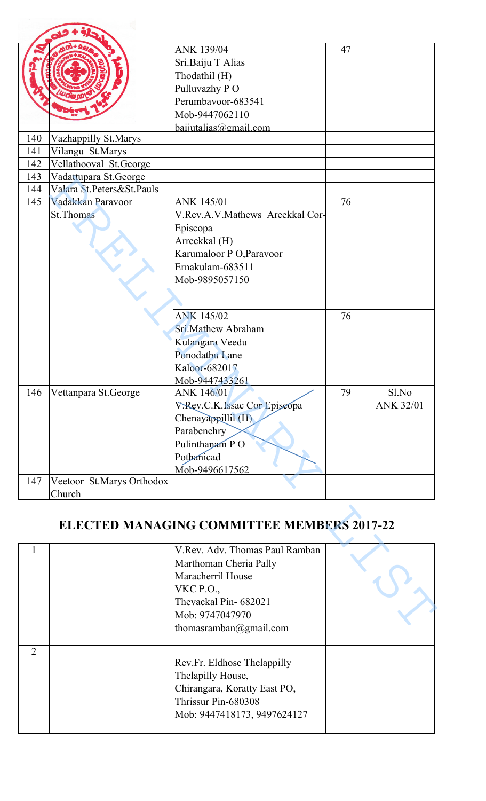|              |                           | ANK 139/04                                        | 47 |                  |
|--------------|---------------------------|---------------------------------------------------|----|------------------|
|              |                           | Sri.Baiju T Alias                                 |    |                  |
|              |                           |                                                   |    |                  |
|              |                           | Thodathil (H)                                     |    |                  |
|              |                           | Pulluvazhy PO                                     |    |                  |
|              |                           | Perumbavoor-683541                                |    |                  |
|              |                           | Mob-9447062110                                    |    |                  |
|              |                           | $baiijutalias@gijmail.com$                        |    |                  |
| 140          | Vazhappilly St.Marys      |                                                   |    |                  |
| 141          | Vilangu St.Marys          |                                                   |    |                  |
| 142          | Vellathooval St.George    |                                                   |    |                  |
| 143          | Vadattupara St.George     |                                                   |    |                  |
| 144          | Valara St.Peters&St.Pauls |                                                   |    |                  |
| 145          | Vadakkan Paravoor         | ANK 145/01                                        | 76 |                  |
|              | <b>St. Thomas</b>         | V.Rev.A.V.Mathews Areekkal Cor-                   |    |                  |
|              |                           | Episcopa                                          |    |                  |
|              |                           | Arreekkal (H)                                     |    |                  |
|              |                           | Karumaloor P O, Paravoor                          |    |                  |
|              |                           | Ernakulam-683511                                  |    |                  |
|              |                           | Mob-9895057150                                    |    |                  |
|              |                           |                                                   |    |                  |
|              |                           |                                                   |    |                  |
|              |                           | <b>ANK 145/02</b>                                 | 76 |                  |
|              |                           | Sri.Mathew Abraham                                |    |                  |
|              |                           |                                                   |    |                  |
|              |                           | Kulangara Veedu                                   |    |                  |
|              |                           | Ponodathu Lane                                    |    |                  |
|              |                           | Kaloor-682017                                     |    |                  |
|              |                           | Mob-9447433261                                    |    |                  |
| 146          | Vettanpara St.George      | ANK 146/01                                        | 79 | Sl.No            |
|              |                           | V.Rev.C.K.Issac Cor Episeopa                      |    | <b>ANK 32/01</b> |
|              |                           | Chenayappillil (H)                                |    |                  |
|              |                           | Parabenchry                                       |    |                  |
|              |                           | Pulinthanam PO                                    |    |                  |
|              |                           | Pothanicad                                        |    |                  |
|              |                           | Mob-9496617562                                    |    |                  |
| 147          | Veetoor St.Marys Orthodox |                                                   |    |                  |
|              | Church                    |                                                   |    |                  |
|              |                           | <b>ELECTED MANAGING COMMITTEE MEMBERS 2017-22</b> |    |                  |
| $\mathbf{1}$ |                           | V.Rev. Adv. Thomas Paul Ramban                    |    |                  |
|              |                           | Marthoman Cheria Pally                            |    |                  |
|              |                           | Maracherril House                                 |    |                  |
|              |                           |                                                   |    |                  |
|              |                           | <b>VKC P.O.,</b>                                  |    |                  |
|              |                           | Thevackal Pin-682021                              |    |                  |
|              |                           | Mob: 9747047970                                   |    |                  |
|              |                           | thomasramhan@omail.com                            |    |                  |

## **ELECTED MANAGING COMMITTEE MEMBERS 2017-22**

|   | V.Rev. Adv. Thomas Paul Ramban |  |
|---|--------------------------------|--|
|   | Marthoman Cheria Pally         |  |
|   | Maracherril House              |  |
|   | <b>VKC P.O.,</b>               |  |
|   | Thevackal Pin-682021           |  |
|   | Mob: 9747047970                |  |
|   | thomasramban@gmail.com         |  |
|   |                                |  |
| 2 |                                |  |
|   | Rev.Fr. Eldhose Thelappilly    |  |
|   | Thelapilly House,              |  |
|   | Chirangara, Koratty East PO,   |  |
|   | Thrissur Pin-680308            |  |
|   | Mob: 9447418173, 9497624127    |  |
|   |                                |  |
|   |                                |  |